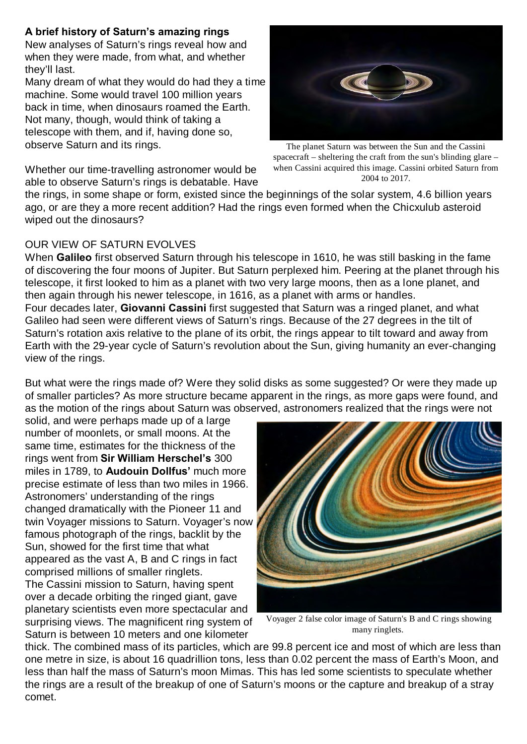## **A brief history of Saturn's amazing rings**

New analyses of Saturn's rings reveal how and when they were made, from what, and whether they'll last.

Many dream of what they would do had they a time machine. Some would travel 100 million years back in time, when dinosaurs roamed the Earth. Not many, though, would think of taking a telescope with them, and if, having done so, observe Saturn and its rings.



The planet Saturn was between the Sun and the Cassini spacecraft – sheltering the craft from the sun's blinding glare – when Cassini acquired this image. Cassini orbited Saturn from 2004 to 2017.

Whether our time-travelling astronomer would be able to observe Saturn's rings is debatable. Have

the rings, in some shape or form, existed since the beginnings of the solar system, 4.6 billion years ago, or are they a more recent addition? Had the rings even formed when the Chicxulub asteroid wiped out the dinosaurs?

## OUR VIEW OF SATURN EVOLVES

When **Galileo** first observed Saturn through his telescope in 1610, he was still basking in the fame of discovering the four moons of Jupiter. But Saturn perplexed him. Peering at the planet through his telescope, it first looked to him as a planet with two very large moons, then as a lone planet, and then again through his newer telescope, in 1616, as a planet with arms or handles. Four decades later, **Giovanni Cassini** first suggested that Saturn was a ringed planet, and what Galileo had seen were different views of Saturn's rings. Because of the 27 degrees in the tilt of Saturn's rotation axis relative to the plane of its orbit, the rings appear to tilt toward and away from Earth with the 29-year cycle of Saturn's revolution about the Sun, giving humanity an ever-changing view of the rings.

But what were the rings made of? Were they solid disks as some suggested? Or were they made up of smaller particles? As more structure became apparent in the rings, as more gaps were found, and as the motion of the rings about Saturn was observed, astronomers realized that the rings were not

solid, and were perhaps made up of a large number of moonlets, or small moons. At the same time, estimates for the thickness of the rings went from **Sir William Herschel's** 300 miles in 1789, to **Audouin Dollfus'** much more precise estimate of less than two miles in 1966. Astronomers' understanding of the rings changed dramatically with the Pioneer 11 and twin Voyager missions to Saturn. Voyager's now famous photograph of the rings, backlit by the Sun, showed for the first time that what appeared as the vast A, B and C rings in fact comprised millions of smaller ringlets. The Cassini mission to Saturn, having spent over a decade orbiting the ringed giant, gave planetary scientists even more spectacular and surprising views. The magnificent ring system of Saturn is between 10 meters and one kilometer



Voyager 2 false color image of Saturn's B and C rings showing many ringlets.

thick. The combined mass of its particles, which are 99.8 percent ice and most of which are less than one metre in size, is about 16 quadrillion tons, less than 0.02 percent the mass of Earth's Moon, and less than half the mass of Saturn's moon Mimas. This has led some scientists to speculate whether the rings are a result of the breakup of one of Saturn's moons or the capture and breakup of a stray comet.